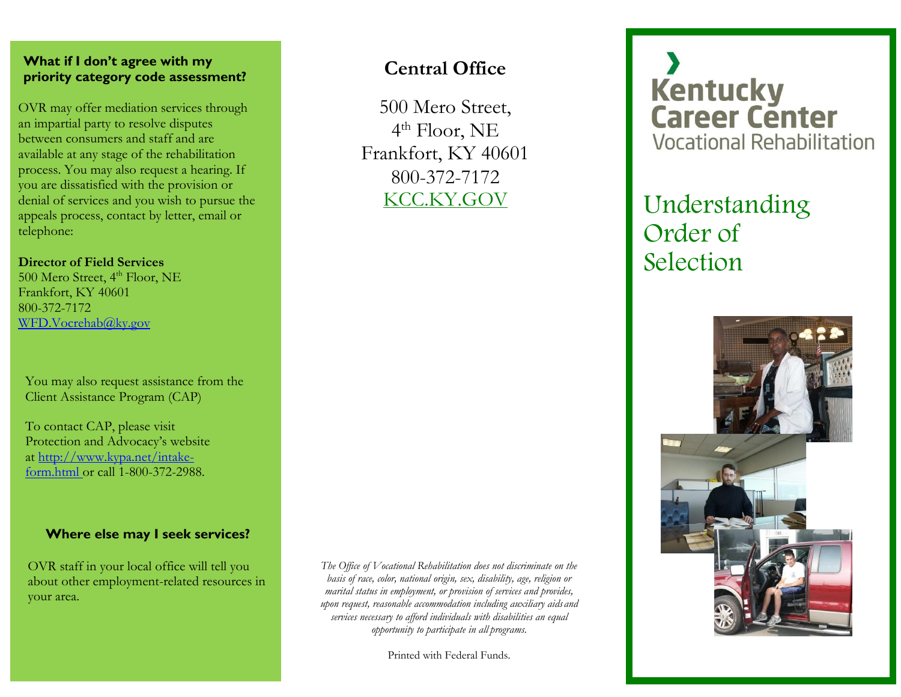#### **What if I don't agree with my priority category code assessment?**

OVR may offer mediation services through an impartial party to resolve disputes between consumers and staff and are available at any stage of the rehabilitation process. You may also request a hearing. If you are dissatisfied with the provision or denial of services and you wish to pursue the appeals process, contact by letter, email or telephone:

#### **Director of Field Services**

500 Mero Street, 4<sup>th</sup> Floor, NE Frankfort, KY 40601 800-372-7172 [WFD.Vocrehab@ky.gov](mailto:WFD.Vocrehab@ky.gov)

You may also request assistance from the Client Assistance Program (CAP)

To contact CAP, please visit Protection and Advocacy's website at [http://www.kypa.net/intake](http://www.kypa.net/intake-form.html%20or%20call%201-800-372-2988)[form.html or call 1-800-372-2988.](http://www.kypa.net/intake-form.html%20or%20call%201-800-372-2988)

#### **Where else may I seek services?**

OVR staff in your local office will tell you about other employment-related resources in your area.

*The Office of Vocational Rehabilitation does not discriminate on the basis of race, color, national origin, sex, disability, age, religion or marital status in employment, or provision of services and provides, upon request, reasonable accommodation including auxiliary aids and services necessary to afford individuals with disabilities an equal opportunity to participate in all programs.*

**Central Office**

500 Mero Street,

4 th Floor, NE Frankfort, KY 40601 800-372-7172

KCC.KY.GOV

Printed with Federal Funds.

# **Kentucky<br>Career Center Vocational Rehabilitation**

### Understanding Order of Selection